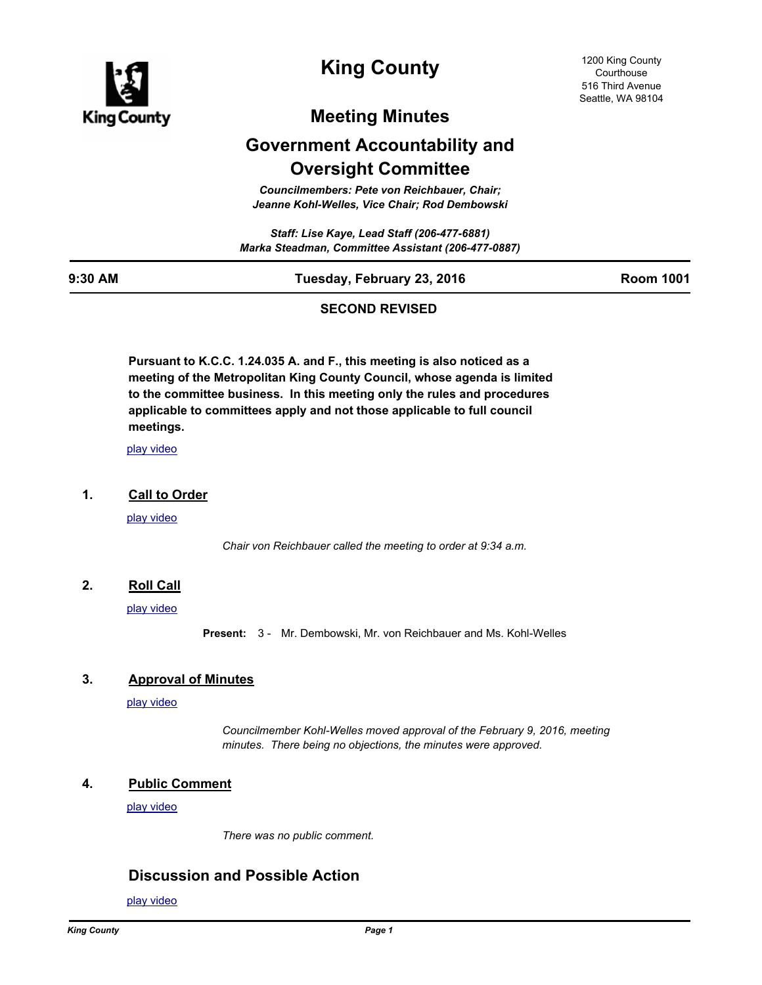

# **King County**

1200 King County **Courthouse** 516 Third Avenue Seattle, WA 98104

# **Meeting Minutes**

# **Government Accountability and Oversight Committee**

*Councilmembers: Pete von Reichbauer, Chair; Jeanne Kohl-Welles, Vice Chair; Rod Dembowski*

*Staff: Lise Kaye, Lead Staff (206-477-6881) Marka Steadman, Committee Assistant (206-477-0887)*

### **9:30 AM Tuesday, February 23, 2016 Room 1001**

## **SECOND REVISED**

**Pursuant to K.C.C. 1.24.035 A. and F., this meeting is also noticed as a meeting of the Metropolitan King County Council, whose agenda is limited to the committee business. In this meeting only the rules and procedures applicable to committees apply and not those applicable to full council meetings.**

[play video](http://mkcclegisearch.kingcounty.gov/medialinkgenerator/index.aspx?meid=5751&hsid=311261)

#### **1. Call to Order**

[play video](http://mkcclegisearch.kingcounty.gov/medialinkgenerator/index.aspx?meid=5751&hsid=311212)

*Chair von Reichbauer called the meeting to order at 9:34 a.m.*

## **2. Roll Call**

[play video](http://mkcclegisearch.kingcounty.gov/medialinkgenerator/index.aspx?meid=5751&hsid=311214)

**Present:** 3 - Mr. Dembowski, Mr. von Reichbauer and Ms. Kohl-Welles

### **3. Approval of Minutes**

[play video](http://mkcclegisearch.kingcounty.gov/medialinkgenerator/index.aspx?meid=5751&hsid=311215)

*Councilmember Kohl-Welles moved approval of the February 9, 2016, meeting minutes. There being no objections, the minutes were approved.*

### **4. Public Comment**

[play video](http://mkcclegisearch.kingcounty.gov/medialinkgenerator/index.aspx?meid=5751&hsid=311217)

*There was no public comment.*

## **Discussion and Possible Action**

[play video](http://mkcclegisearch.kingcounty.gov/medialinkgenerator/index.aspx?meid=5751&hsid=311219)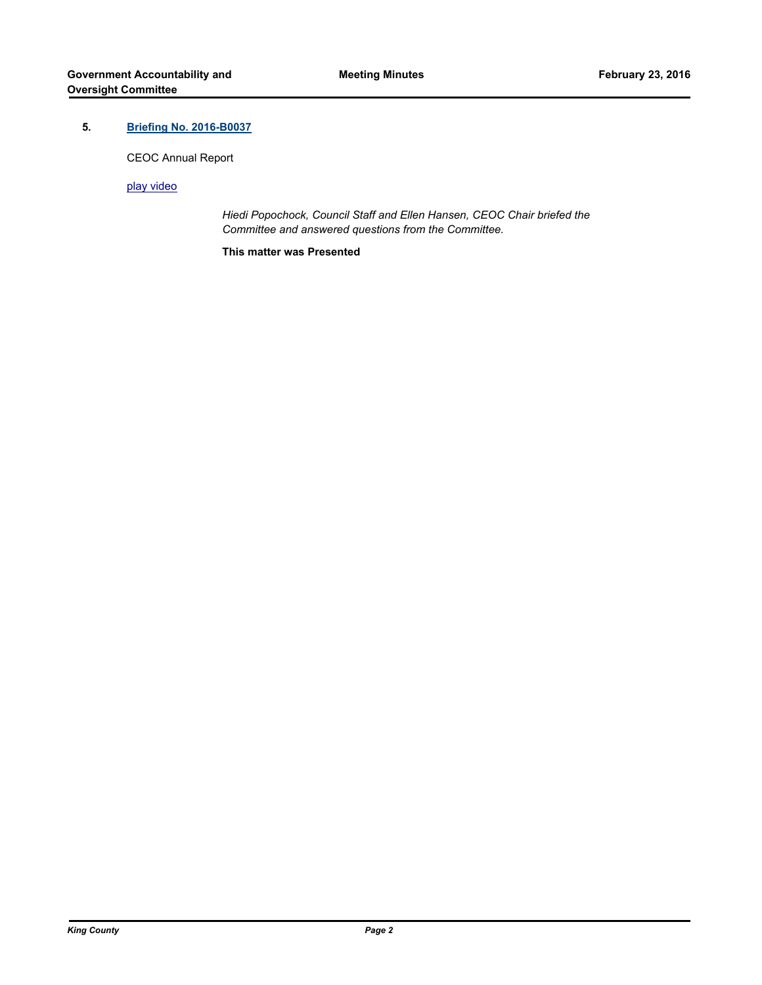## **5. [Briefing No. 2016-B0037](http://kingcounty.legistar.com/gateway.aspx?m=l&id=/matter.aspx?key=16892)**

CEOC Annual Report

[play video](http://mkcclegisearch.kingcounty.gov/medialinkgenerator/index.aspx?meid=5751&hsid=311220)

*Hiedi Popochock, Council Staff and Ellen Hansen, CEOC Chair briefed the Committee and answered questions from the Committee.*

**This matter was Presented**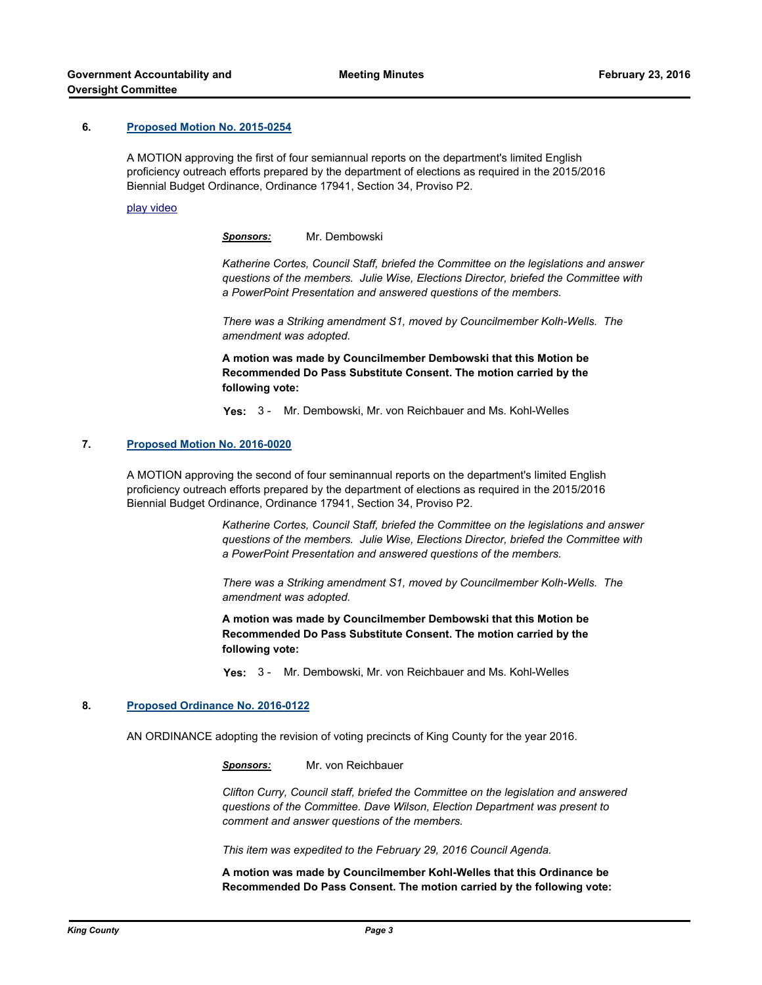#### **6. [Proposed Motion No. 2015-0254](http://kingcounty.legistar.com/gateway.aspx?m=l&id=/matter.aspx?key=16167)**

A MOTION approving the first of four semiannual reports on the department's limited English proficiency outreach efforts prepared by the department of elections as required in the 2015/2016 Biennial Budget Ordinance, Ordinance 17941, Section 34, Proviso P2.

#### [play video](http://mkcclegisearch.kingcounty.gov/medialinkgenerator/index.aspx?meid=5751&hsid=311225)

*Sponsors:* Mr. Dembowski

*Katherine Cortes, Council Staff, briefed the Committee on the legislations and answer questions of the members. Julie Wise, Elections Director, briefed the Committee with a PowerPoint Presentation and answered questions of the members.*

*There was a Striking amendment S1, moved by Councilmember Kolh-Wells. The amendment was adopted.*

**A motion was made by Councilmember Dembowski that this Motion be Recommended Do Pass Substitute Consent. The motion carried by the following vote:**

**Yes:** 3 - Mr. Dembowski, Mr. von Reichbauer and Ms. Kohl-Welles

#### **7. [Proposed Motion No. 2016-0020](http://kingcounty.legistar.com/gateway.aspx?m=l&id=/matter.aspx?key=16729)**

A MOTION approving the second of four seminannual reports on the department's limited English proficiency outreach efforts prepared by the department of elections as required in the 2015/2016 Biennial Budget Ordinance, Ordinance 17941, Section 34, Proviso P2.

> *Katherine Cortes, Council Staff, briefed the Committee on the legislations and answer questions of the members. Julie Wise, Elections Director, briefed the Committee with a PowerPoint Presentation and answered questions of the members.*

*There was a Striking amendment S1, moved by Councilmember Kolh-Wells. The amendment was adopted.*

**A motion was made by Councilmember Dembowski that this Motion be Recommended Do Pass Substitute Consent. The motion carried by the following vote:**

**Yes:** 3 - Mr. Dembowski, Mr. von Reichbauer and Ms. Kohl-Welles

#### **8. [Proposed Ordinance No. 2016-0122](http://kingcounty.legistar.com/gateway.aspx?m=l&id=/matter.aspx?key=16909)**

AN ORDINANCE adopting the revision of voting precincts of King County for the year 2016.

*Sponsors:* Mr. von Reichbauer

*Clifton Curry, Council staff, briefed the Committee on the legislation and answered questions of the Committee. Dave Wilson, Election Department was present to comment and answer questions of the members.*

*This item was expedited to the February 29, 2016 Council Agenda.*

**A motion was made by Councilmember Kohl-Welles that this Ordinance be Recommended Do Pass Consent. The motion carried by the following vote:**